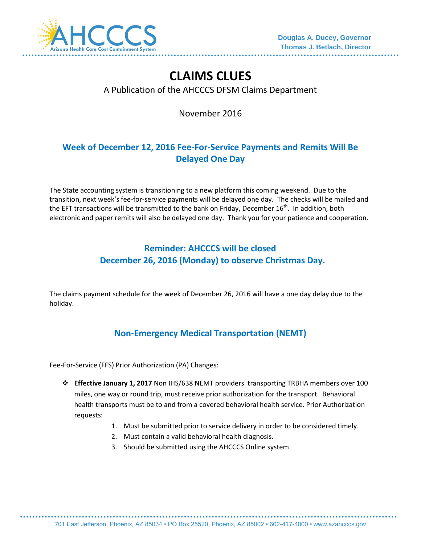

# **CLAIMS CLUES**

#### A Publication of the AHCCCS DFSM Claims Department

November 2016

## **Week of December 12, 2016 Fee-For-Service Payments and Remits Will Be Delayed One Day**

The State accounting system is transitioning to a new platform this coming weekend. Due to the transition, next week's fee-for-service payments will be delayed one day. The checks will be mailed and the EFT transactions will be transmitted to the bank on Friday, December  $16^{\text{th}}$ . In addition, both electronic and paper remits will also be delayed one day. Thank you for your patience and cooperation.

#### **Reminder: AHCCCS will be closed December 26, 2016 (Monday) to observe Christmas Day.**

The claims payment schedule for the week of December 26, 2016 will have a one day delay due to the holiday.

## **Non-Emergency Medical Transportation (NEMT)**

Fee-For-Service (FFS) Prior Authorization (PA) Changes:

- **Effective January 1, 2017** Non IHS/638 NEMT providers transporting TRBHA members over 100 miles, one way or round trip, must receive prior authorization for the transport. Behavioral health transports must be to and from a covered behavioral health service. Prior Authorization requests:
	- 1. Must be submitted prior to service delivery in order to be considered timely.
	- 2. Must contain a valid behavioral health diagnosis.
	- 3. Should be submitted using the AHCCCS Online system.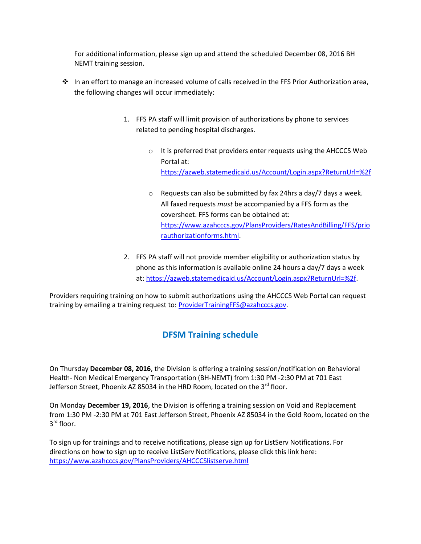For additional information, please sign up and attend the scheduled December 08, 2016 BH NEMT training session.

- $\cdot \cdot$  In an effort to manage an increased volume of calls received in the FFS Prior Authorization area, the following changes will occur immediately:
	- 1. FFS PA staff will limit provision of authorizations by phone to services related to pending hospital discharges.
		- o It is preferred that providers enter requests using the AHCCCS Web Portal at: <https://azweb.statemedicaid.us/Account/Login.aspx?ReturnUrl=%2f>
		- o Requests can also be submitted by fax 24hrs a day/7 days a week. All faxed requests *must* be accompanied by a FFS form as the coversheet. FFS forms can be obtained at: [https://www.azahcccs.gov/PlansProviders/RatesAndBilling/FFS/prio](https://www.azahcccs.gov/PlansProviders/RatesAndBilling/FFS/priorauthorizationforms.html) [rauthorizationforms.html.](https://www.azahcccs.gov/PlansProviders/RatesAndBilling/FFS/priorauthorizationforms.html)
	- 2. FFS PA staff will not provide member eligibility or authorization status by phone as this information is available online 24 hours a day/7 days a week at: [https://azweb.statemedicaid.us/Account/Login.aspx?ReturnUrl=%2f.](https://azweb.statemedicaid.us/Account/Login.aspx?ReturnUrl=%2f)

Providers requiring training on how to submit authorizations using the AHCCCS Web Portal can request training by emailing a training request to: **ProviderTrainingFFS@azahcccs.gov**.

#### **DFSM Training schedule**

On Thursday **December 08, 2016**, the Division is offering a training session/notification on Behavioral Health- Non Medical Emergency Transportation (BH-NEMT) from 1:30 PM -2:30 PM at 701 East Jefferson Street, Phoenix AZ 85034 in the HRD Room, located on the 3<sup>rd</sup> floor.

On Monday **December 19, 2016**, the Division is offering a training session on Void and Replacement from 1:30 PM -2:30 PM at 701 East Jefferson Street, Phoenix AZ 85034 in the Gold Room, located on the 3 rd floor.

To sign up for trainings and to receive notifications, please sign up for ListServ Notifications. For directions on how to sign up to receive ListServ Notifications, please click this link here: <https://www.azahcccs.gov/PlansProviders/AHCCCSlistserve.html>